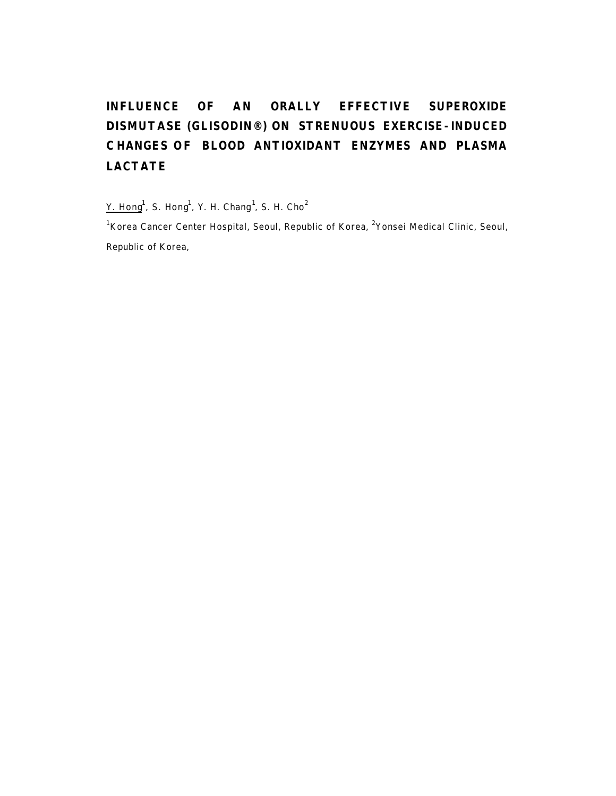# **INFLUENCE OF AN ORALLY EFFECTIVE SUPEROXIDE DISMUTASE (GLISODIN®) ON STRENUOUS EXERCISE-INDUCED C HANGES OF BLOOD ANTIOXIDANT ENZYMES AND PLASMA LACTATE**

Y. Hong<sup>1</sup>, S. Hong<sup>1</sup>, Y. H. Chang<sup>1</sup>, S. H. Cho<sup>2</sup>

*<sup>1</sup>Korea Cancer Center Hospital, Seoul, Republic of Korea, <sup>2</sup>Yonsei Medical Clinic, Seoul, Republic of Korea,*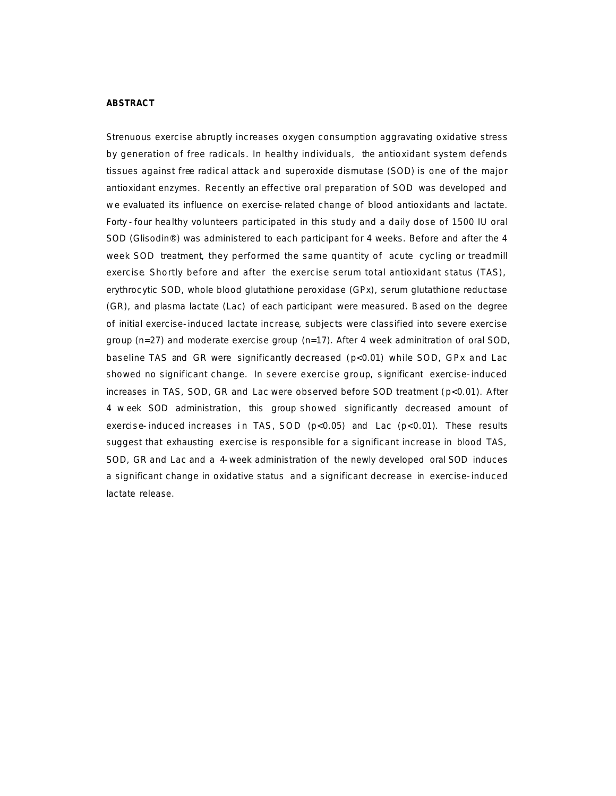#### **ABSTRACT**

Strenuous exercise abruptly increases oxygen consumption aggravating oxidative stress by generation of free radicals. In healthy individuals, the antioxidant system defends tissues against free radical attack and superoxide dismutase (SOD) is one of the major antioxidant enzymes. Recently an effective oral preparation of SOD was developed and w e evaluated its influence on exercise-related change of blood antioxidants and lactate. Forty -four healthy volunteers participated in this study and a daily dose of 1500 IU oral SOD (Glisodin®) was administered to each participant for 4 weeks. Before and after the 4 week SOD treatment, they performed the same quantity of acute cycling or treadmill exercise. Shortly before and after the exercise serum total antioxidant status (TAS), erythrocytic SOD, whole blood glutathione peroxidase (GPx), serum glutathione reductase (GR), and plasma lactate (Lac) of each participant were measured. Based on the degree of initial exercise-induced lactate increase, subjects were classified into severe exercise group (n=27) and moderate exercise group (n=17). After 4 week adminitration of oral SOD, baseline TAS and GR were significantly decreased (p<0.01) while SOD, GPx and Lac showed no significant change. In severe exercise group, s ignificant exercise-induced increases in TAS, SOD, GR and Lac were observed before SOD treatment (p<0.01). After 4 w eek SOD administration, this group showed significantly decreased amount of exercise-induced increases in TAS, SOD ( $p<0.05$ ) and Lac ( $p<0.01$ ). These results suggest that exhausting exercise is responsible for a significant increase in blood TAS, SOD, GR and Lac and a 4-week administration of the newly developed oral SOD induces a significant change in oxidative status and a significant decrease in exercise-induced lactate release.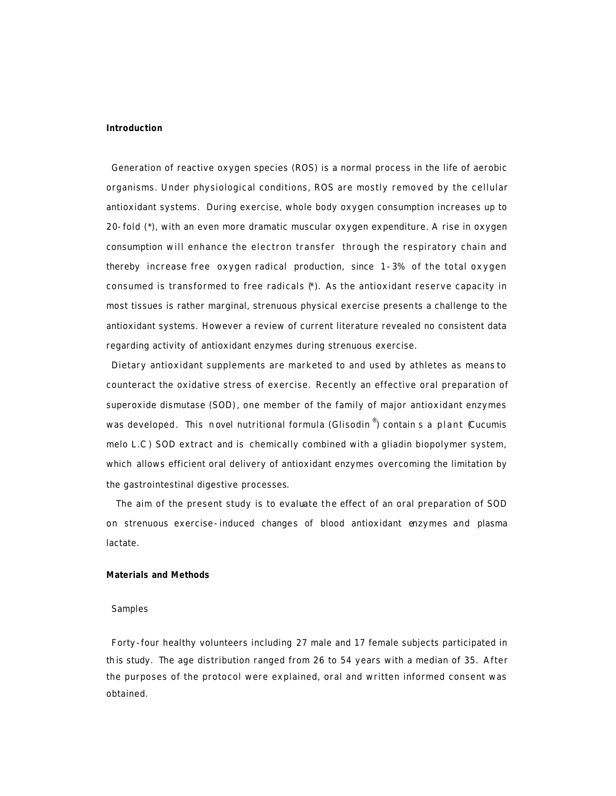### **Introduction**

Generation of reactive oxygen species (ROS) is a normal process in the life of aerobic organisms. Under physiological conditions, ROS are mostly removed by the cellular antioxidant systems. During exercise, whole body oxygen consumption increases up to 20-fold (\*), with an even more dramatic muscular oxygen expenditure. A rise in oxygen consumption will enhance the electron transfer through the respiratory chain and thereby increase free oxygen radical production, since 1-3% of the total oxygen consumed is transformed to free radicals  $(*)$ . As the antioxidant reserve capacity in most tissues is rather marginal, strenuous physical exercise presents a challenge to the antioxidant systems. However a review of current literature revealed no consistent data regarding activity of antioxidant enzymes during strenuous exercise.

Dietary antioxidant supplements are marketed to and used by athletes as means to counteract the oxidative stress of exercise. Recently an effective oral preparation of superoxide dismutase (SOD), one member of the family of major antioxidant enzymes was developed. This n ovel nutritional formula (Glisodin ® ) contain s a plant (*Cucumis melo L.C* ) SOD extract and is chemically combined with a gliadin biopolymer system, which allows efficient oral delivery of antioxidant enzymes overcoming the limitation by the gastrointestinal digestive processes.

The aim of the present study is to evaluate the effect of an oral preparation of SOD on strenuous exercise-induced changes of blood antioxidant enzymes and plasma lactate.

## **Materials and Methods**

#### *Samples*

Forty-four healthy volunteers including 27 male and 17 female subjects participated in th is study. The age distribution ranged from 26 to 54 years with a median of 35. After the purposes of the protocol were explained, oral and written informed consent was obtained.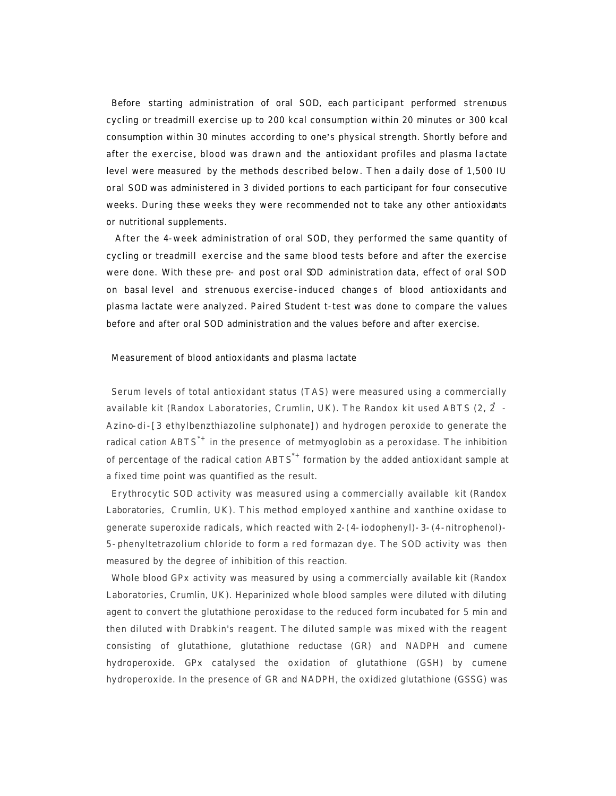Before starting administration of oral SOD, each participant performed strenuous cycling or treadmill exercise up to 200 kcal consumption within 20 minutes or 300 kcal consumption within 30 minutes according to one's physical strength. Shortly before and after the exercise, blood was drawn and the antioxidant profiles and plasma lactate level were measured by the methods described below. Then a daily dose of 1,500 IU oral SOD was administered in 3 divided portions to each participant for four consecutive weeks. During these weeks they were recommended not to take any other antioxidants or nutritional supplements.

 After the 4-week administration of oral SOD, they performed the same quantity of cycling or treadmill exercise and the same blood tests before and after the exercise were done. With these pre- and post oral SOD administration data, effect of oral SOD on basal level and strenuous exercise-induced change s of blood antioxidants and plasma lactate were analyzed. Paired Student *t*-test was done to compare the values before and after oral SOD administration and the values before and after exercise.

#### *Measurement of blood antioxidants and plasma lactate*

Serum levels of total antioxidant status (TAS) were measured using a commercially available kit (Randox Laboratories, Crumlin, UK). The Randox kit used ABTS (2, 2 - Azino-di-[3 ethylbenzthiazoline sulphonate]) and hydrogen peroxide to generate the radical cation  $ABTS^{*+}$  in the presence of metmyoglobin as a peroxidase. The inhibition of percentage of the radical cation  $ABTS^*$  formation by the added antioxidant sample at a fixed time point was quantified as the result.

Erythrocytic SOD activity was measured using a commercially available kit (Randox Laboratories, Crumlin, UK). This method employed xanthine and xanthine oxidase to generate superoxide radicals, which reacted with 2-(4-iodophenyl)-3-(4-nitrophenol)- 5-phenyltetrazolium chloride to form a red formazan dye. The SOD activity was then measured by the degree of inhibition of this reaction.

Whole blood GPx activity was measured by using a commercially available kit (Randox Laboratories, Crumlin, UK). Heparinized whole blood samples were diluted with diluting agent to convert the glutathione peroxidase to the reduced form incubated for 5 min and then diluted with Drabkin's reagent. The diluted sample was mixed with the reagent consisting of glutathione, glutathione reductase (GR) and NADPH and cumene hydroperoxide. GPx catalysed the oxidation of glutathione (GSH) by cumene hydroperoxide. In the presence of GR and NADPH, the oxidized glutathione (GSSG) was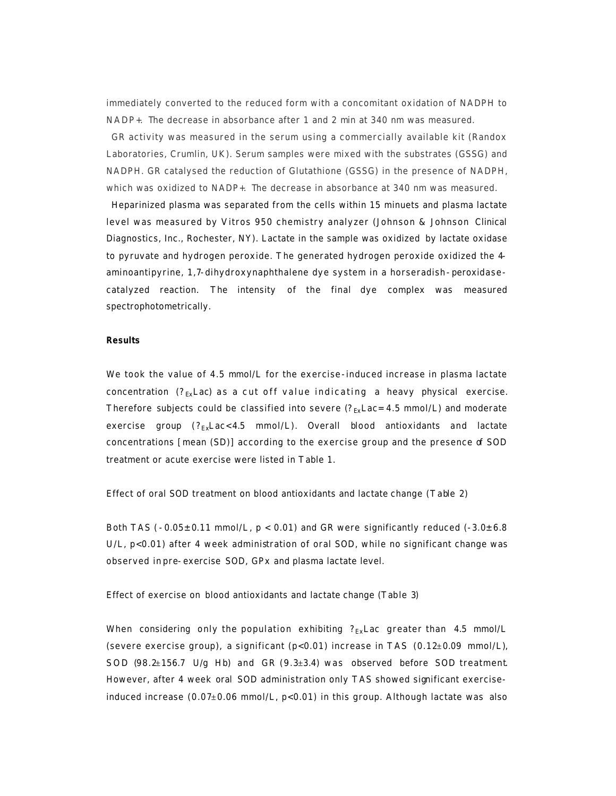immediately converted to the reduced form with a concomitant oxidation of NADPH to NADP+. The decrease in absorbance after 1 and 2 min at 340 nm was measured.

GR activity was measured in the serum using a commercially available kit (Randox Laboratories, Crumlin, UK). Serum samples were mixed with the substrates (GSSG) and NADPH. GR catalysed the reduction of Glutathione (GSSG) in the presence of NADPH, which was oxidized to NADP+. The decrease in absorbance at 340 nm was measured.

Heparinized plasma was separated from the cells within 15 minuets and plasma lactate level was measured by Vitros 950 chemistry analyzer (Johnson & Johnson Clinical Diagnostics, Inc., Rochester, NY). Lactate in the sample was oxidized by lactate oxidase to pyruvate and hydrogen peroxide. The generated hydrogen peroxide oxidized the 4 aminoantipyrine, 1,7-dihydroxynaphthalene dye system in a horseradish-peroxidasecatalyzed reaction. The intensity of the final dye complex was measured spectrophotometrically.

#### **Results**

We took the value of 4.5 mmol/L for the exercise-induced increase in plasma lactate concentration ( $?_{\text{Ex}}$ Lac) as a cut off value indicating a heavy physical exercise. Therefore subjects could be classified into severe  $(?_{Ex}Lac=4.5 \text{ mmol/L})$  and moderate exercise group  $(?_{Ex}Lac<4.5 mmol/L)$ . Overall blood antioxidants and lactate concentrations [mean (SD)] according to the exercise group and the presence of SOD treatment or acute exercise were listed in Table 1.

#### *Effect of oral SOD treatment on blood antioxidants and lactate change (Table 2)*

Both TAS ( $-0.05\pm0.11$  mmol/L,  $p < 0.01$ ) and GR were significantly reduced ( $-3.0\pm6.8$ ) U/L, p<0.01) after 4 week administration of oral SOD, while no significant change was observed in pre-exercise SOD, GPx and plasma lactate level.

#### *Effect of exercise on blood antioxidants and lactate change (Table 3)*

When considering only the population exhibiting  $?_{Ex}$ Lac greater than 4.5 mmol/L (severe exercise group), a significant  $(p<0.01)$  increase in TAS  $(0.12\pm0.09 \text{ mmol/L})$ , SOD  $(98.2±156.7 \text{ U/g Hb})$  and GR  $(9.3±3.4)$  was observed before SOD treatment. However, after 4 week oral SOD administration only TAS showed significant exerciseinduced increase  $(0.07\pm0.06 \text{ mmol/L}, p<0.01)$  in this group. Although lactate was also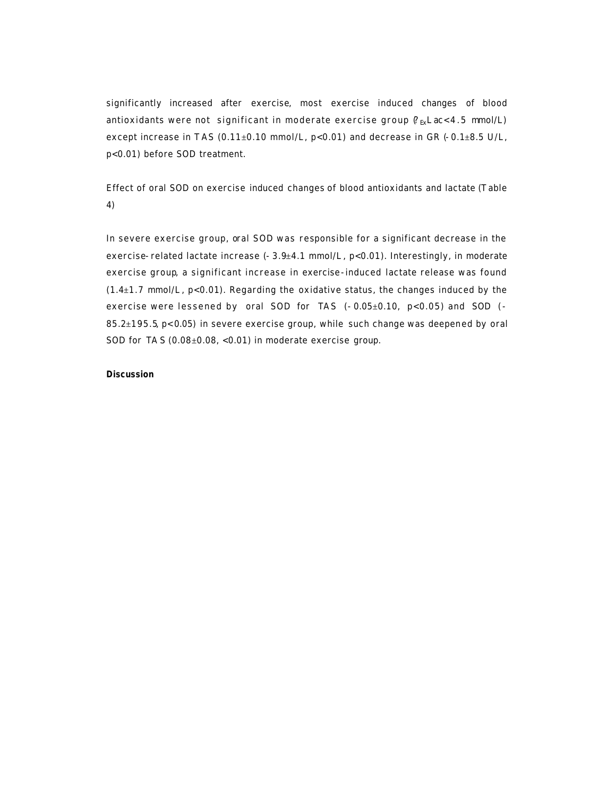significantly increased after exercise, most exercise induced changes of blood antioxidants were not significant in moderate exercise group  $\ell_{\text{B}}$ Lac<4.5 mmol/L) except increase in TAS (0.11±0.10 mmol/L,  $p<0.01$ ) and decrease in GR (-0.1±8.5 U/L, p<0.01) before SOD treatment.

*Effect of oral SOD on exercise induced changes of blood antioxidants and lactate (Table 4)*

In severe exercise group, oral SOD was responsible for a significant decrease in the exercise-related lactate increase  $(-3.9\pm4.1 \text{ mmol/L}, \text{p}<0.01)$ . Interestingly, in moderate exercise group, a significant increase in exercise-induced lactate release was found  $(1.4\pm1.7 \text{ mmol/L}, \text{p}<0.01)$ . Regarding the oxidative status, the changes induced by the exercise were lessened by oral SOD for TAS  $(-0.05\pm0.10, p<0.05)$  and SOD  $( 85.2 \pm 195.5$  p< 0.05) in severe exercise group, while such change was deepened by oral SOD for TA S  $(0.08 \pm 0.08, \, <0.01)$  in moderate exercise group.

### **Discussion**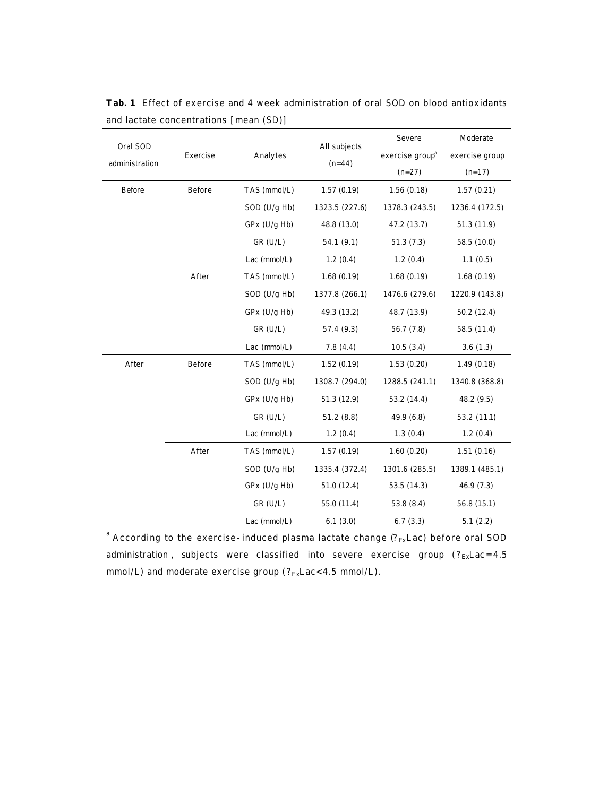| Analytes | All subjects<br>$(n=44)$                                                                                                                                                                                                                                                                                       | exercise group <sup>a</sup><br>$(n=27)$ | exercise group<br>$(n=17)$ |
|----------|----------------------------------------------------------------------------------------------------------------------------------------------------------------------------------------------------------------------------------------------------------------------------------------------------------------|-----------------------------------------|----------------------------|
|          |                                                                                                                                                                                                                                                                                                                |                                         |                            |
|          |                                                                                                                                                                                                                                                                                                                |                                         |                            |
|          |                                                                                                                                                                                                                                                                                                                | 1.56(0.18)                              | 1.57(0.21)                 |
|          | 1323.5 (227.6)                                                                                                                                                                                                                                                                                                 | 1378.3 (243.5)                          | 1236.4 (172.5)             |
|          | 48.8 (13.0)                                                                                                                                                                                                                                                                                                    | 47.2 (13.7)                             | 51.3 (11.9)                |
|          | 54.1(9.1)                                                                                                                                                                                                                                                                                                      | 51.3(7.3)                               | 58.5 (10.0)                |
|          | 1.2(0.4)                                                                                                                                                                                                                                                                                                       | 1.2(0.4)                                | 1.1(0.5)                   |
|          | 1.68(0.19)                                                                                                                                                                                                                                                                                                     | 1.68(0.19)                              | 1.68(0.19)                 |
|          | 1377.8 (266.1)                                                                                                                                                                                                                                                                                                 | 1476.6 (279.6)                          | 1220.9 (143.8)             |
|          | 49.3 (13.2)                                                                                                                                                                                                                                                                                                    | 48.7 (13.9)                             | 50.2 (12.4)                |
|          | 57.4 (9.3)                                                                                                                                                                                                                                                                                                     | 56.7 (7.8)                              | 58.5 (11.4)                |
|          | 7.8(4.4)                                                                                                                                                                                                                                                                                                       | 10.5(3.4)                               | 3.6(1.3)                   |
|          | 1.52(0.19)                                                                                                                                                                                                                                                                                                     | 1.53(0.20)                              | 1.49(0.18)                 |
|          | 1308.7 (294.0)                                                                                                                                                                                                                                                                                                 | 1288.5 (241.1)                          | 1340.8 (368.8)             |
|          | 51.3 (12.9)                                                                                                                                                                                                                                                                                                    | 53.2 (14.4)                             | 48.2 (9.5)                 |
|          | 51.2(8.8)                                                                                                                                                                                                                                                                                                      | 49.9 (6.8)                              | 53.2(11.1)                 |
|          | 1.2(0.4)                                                                                                                                                                                                                                                                                                       | 1.3(0.4)                                | 1.2(0.4)                   |
|          | 1.57(0.19)                                                                                                                                                                                                                                                                                                     | 1.60(0.20)                              | 1.51(0.16)                 |
|          | 1335.4 (372.4)                                                                                                                                                                                                                                                                                                 | 1301.6 (285.5)                          | 1389.1 (485.1)             |
|          | 51.0 (12.4)                                                                                                                                                                                                                                                                                                    | 53.5 (14.3)                             | 46.9 (7.3)                 |
|          | 55.0 (11.4)                                                                                                                                                                                                                                                                                                    | 53.8 (8.4)                              | 56.8 (15.1)                |
|          | 6.1(3.0)                                                                                                                                                                                                                                                                                                       | 6.7(3.3)                                | 5.1(2.2)                   |
|          | SOD (U/g Hb)<br>GPx (U/g Hb)<br>$GR$ (U/L)<br>Lac (mmol/L)<br>TAS (mmol/L)<br>SOD (U/g Hb)<br>$GPx$ (U/g Hb)<br>$GR$ (U/L)<br>Lac (mmol/L)<br>TAS (mmol/L)<br>SOD (U/g Hb)<br>$GPx$ (U/g Hb)<br>$GR$ (U/L)<br>Lac $(mmol/L)$<br>TAS (mmol/L)<br>$SOD$ (U/g Hb)<br>$GPx$ (U/g Hb)<br>$GR$ (U/L)<br>Lac (mmol/L) | TAS (mmol/L)<br>1.57(0.19)              |                            |

**Tab. 1** Effect of exercise and 4 week administration of oral SOD on blood antioxidants and lactate concentrations [mean (SD)]

 $^{\rm a}$  According to the exercise-induced plasma lactate change (? $_{\rm Ex}$ Lac) before oral SOD administration, subjects were classified into severe exercise group  $(?_{Ex}Lac=4.5)$ mmol/L) and moderate exercise group ( $?_{Ex}$ Lac<4.5 mmol/L).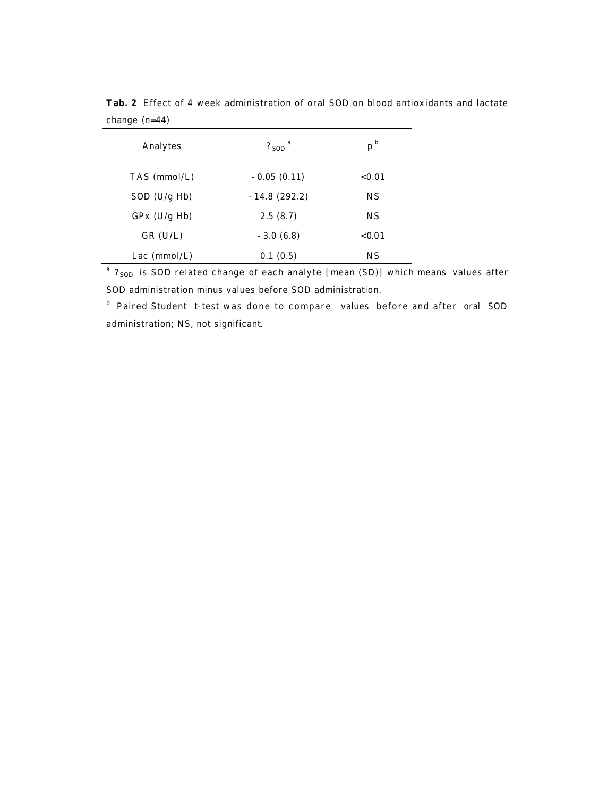| Analytes       | $?$ sop <sup>a</sup> | p <sup>b</sup> |
|----------------|----------------------|----------------|
| $TAS$ (mmol/L) | $-0.05(0.11)$        | < 0.01         |
| SOD $(U/g Hb)$ | $-14.8(292.2)$       | <b>NS</b>      |
| $GPx$ (U/g Hb) | 2.5(8.7)             | <b>NS</b>      |
| $GR$ (U/L)     | $-3.0(6.8)$          | < 0.01         |
| Lac $(mmol/L)$ | 0.1(0.5)             | <b>NS</b>      |

**Tab. 2** Effect of 4 week administration of oral SOD on blood antioxidants and lactate change (n=44)

<sup>a</sup> ?<sub>SOD</sub> is SOD related change of each analyte [mean (SD)] which means values after SOD administration minus values before SOD administration.

b Paired Student *t*-test was done to compare values before and after oral SOD administration; NS, not significant.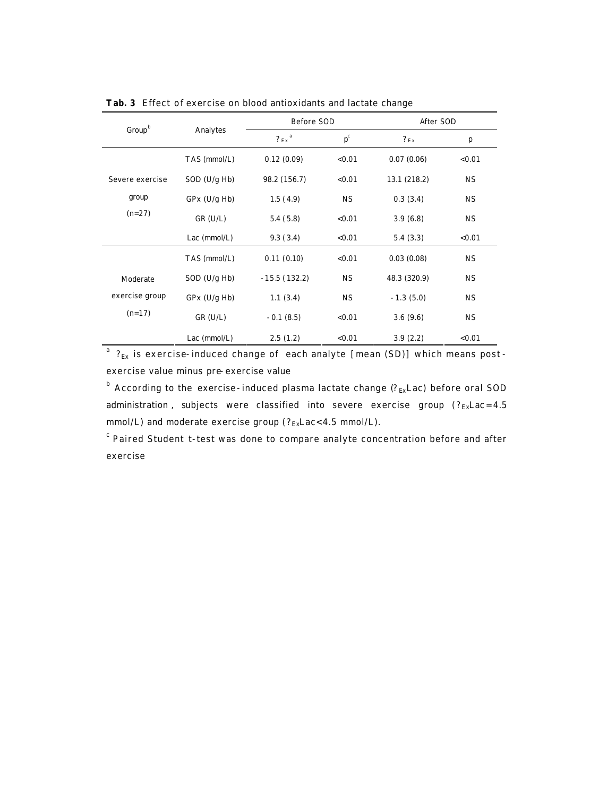|                                        |                | Before SOD            |                           | After SOD    |           |
|----------------------------------------|----------------|-----------------------|---------------------------|--------------|-----------|
| Group <sup>b</sup>                     | Analytes       | $?_{Ex}$ <sup>a</sup> | $\mathbf{p}^{\mathrm{c}}$ | $?_{Ex}$     | p         |
|                                        | TAS (mmol/L)   | 0.12(0.09)            | < 0.01                    | 0.07(0.06)   | < 0.01    |
| Severe exercise                        | $SOD$ (U/g Hb) | 98.2 (156.7)          | < 0.01                    | 13.1 (218.2) | <b>NS</b> |
| group                                  | $GPx$ (U/g Hb) | 1.5(4.9)              | <b>NS</b>                 | 0.3(3.4)     | <b>NS</b> |
| $(n=27)$                               | $GR$ (U/L)     | 5.4(5.8)              | < 0.01                    | 3.9(6.8)     | <b>NS</b> |
|                                        | Lac $(mmol/L)$ | 9.3(3.4)              | < 0.01                    | 5.4(3.3)     | < 0.01    |
|                                        | TAS (mmol/L)   | 0.11(0.10)            | < 0.01                    | 0.03(0.08)   | <b>NS</b> |
| Moderate<br>exercise group<br>$(n=17)$ | $SOD$ (U/g Hb) | $-15.5(132.2)$        | <b>NS</b>                 | 48.3 (320.9) | <b>NS</b> |
|                                        | $GPx$ (U/g Hb) | 1.1(3.4)              | <b>NS</b>                 | $-1.3(5.0)$  | <b>NS</b> |
|                                        | $GR$ (U/L)     | $-0.1(8.5)$           | < 0.01                    | 3.6(9.6)     | <b>NS</b> |
|                                        | Lac $(mmol/L)$ | 2.5(1.2)              | < 0.01                    | 3.9(2.2)     | < 0.01    |

**Tab. 3** Effect of exercise on blood antioxidants and lactate change

 $^{\text{a}}$  ?<sub>Ex</sub> is exercise-induced change of each analyte [mean (SD)] which means postexercise value minus pre-exercise value

 $^{\rm b}$  According to the exercise-induced plasma lactate change (? $_{\rm Ex}$ Lac) before oral SOD administration, subjects were classified into severe exercise group  $(?_{Ex}Lac=4.5)$ mmol/L) and moderate exercise group  $(?_{Ex}Lac < 4.5 \text{ mmol/L}).$ 

<sup>c</sup> Paired Student *t*-test was done to compare analyte concentration before and after exercise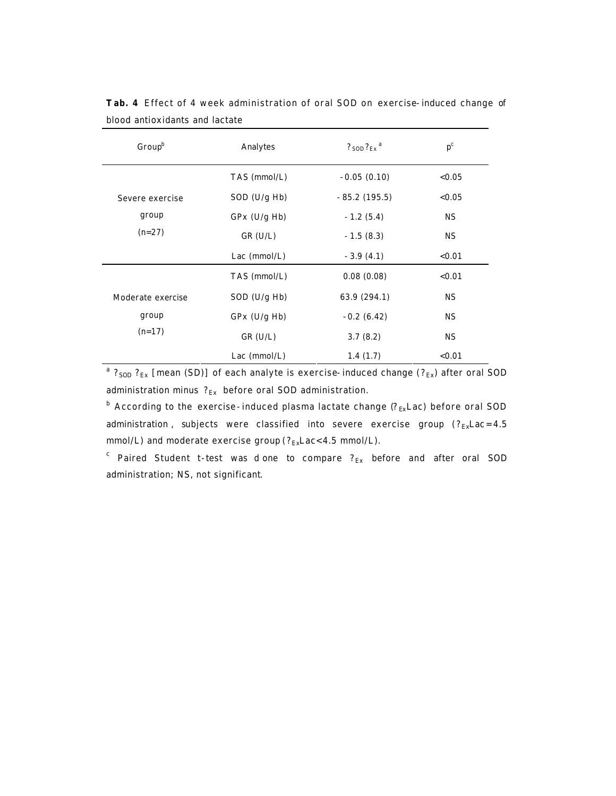| $Group^b$                              | $?$ son $?_{Ex}$ <sup>a</sup><br>Analytes |                | $p^c$     |
|----------------------------------------|-------------------------------------------|----------------|-----------|
|                                        | TAS (mmol/L)                              | $-0.05(0.10)$  | < 0.05    |
| Severe exercise<br>group<br>$(n=27)$   | $SOD$ (U/g Hb)                            | $-85.2(195.5)$ | < 0.05    |
|                                        | $GPx$ (U/g Hb)                            | $-1.2(5.4)$    | <b>NS</b> |
|                                        | $GR$ (U/L)                                | $-1.5(8.3)$    | <b>NS</b> |
|                                        | Lac $(mmol/L)$                            | $-3.9(4.1)$    | < 0.01    |
|                                        | TAS (mmol/L)                              | 0.08(0.08)     | < 0.01    |
| Moderate exercise<br>group<br>$(n=17)$ | $SOD$ (U/g Hb)                            | 63.9 (294.1)   | <b>NS</b> |
|                                        | $GPx$ (U/g Hb)                            | $-0.2(6.42)$   | <b>NS</b> |
|                                        | $GR$ (U/L)                                | 3.7(8.2)       | <b>NS</b> |
|                                        | Lac $(mmol/L)$                            | 1.4(1.7)       | < 0.01    |

**Tab. 4** Effect of 4 week administration of oral SOD on exercise-induced change of blood antioxidants and lactate

<sup>a</sup> ?<sub>SOD</sub> ?<sub>Ex</sub> [mean (SD)] of each analyte is exercise-induced change (?<sub>Ex</sub>) after oral SOD administration minus  $\mathcal{P}_{\mathrm{Ex}}$  before oral SOD administration.

 $^{\text{b}}$  According to the exercise-induced plasma lactate change ( $?_{\text{Ex}}$ Lac) before oral SOD administration, subjects were classified into severe exercise group  $(?_{Ex}Lac=4.5)$ mmol/L) and moderate exercise group ( $?_{Ex}$ Lac<4.5 mmol/L).

 $\epsilon$  Paired Student *t*-test was done to compare  $?_{\text{Ex}}$  before and after oral SOD administration; NS, not significant.